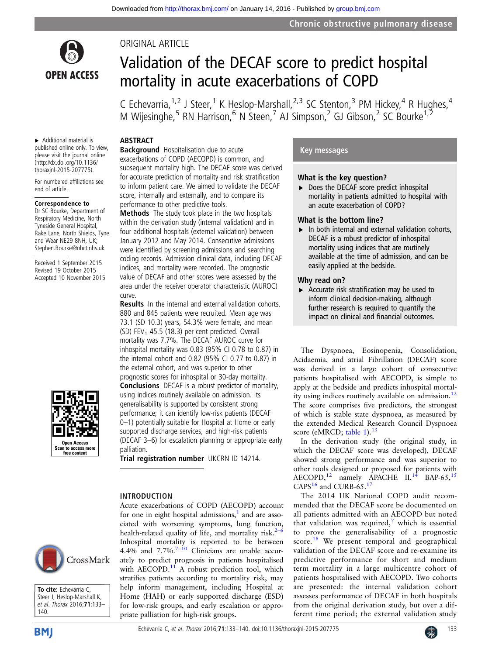

ORIGINAL ARTICLE

# Validation of the DECAF score to predict hospital mortality in acute exacerbations of COPD

C Echevarria,  $1,2$  J Steer, <sup>1</sup> K Heslop-Marshall, <sup>2, 3</sup> SC Stenton, <sup>3</sup> PM Hickey, <sup>4</sup> R Hughes, <sup>4</sup> M Wijesinghe,<sup>5</sup> RN Harrison,<sup>6</sup> N Steen,<sup>7</sup> AJ Simpson,<sup>2</sup> GJ Gibson,<sup>2</sup> SC Bourke<sup>1,2</sup>

# ABSTRACT

▸ Additional material is published online only. To view, please visit the journal online [\(http://dx.doi.org/](http://dx.doi.org/)[10.1136/](10.1136/thoraxjnl-2015-207775) [thoraxjnl-2015-207775\)](10.1136/thoraxjnl-2015-207775).

For numbered affiliations see end of article.

#### Correspondence to

Dr SC Bourke, Department of Respiratory Medicine, North Tyneside General Hospital, Rake Lane, North Shields, Tyne and Wear NE29 8NH, UK; Stephen.Bourke@nhct.nhs.uk

Received 1 September 2015 Revised 19 October 2015 Accepted 10 November 2015



Background Hospitalisation due to acute exacerbations of COPD (AECOPD) is common, and subsequent mortality high. The DECAF score was derived for accurate prediction of mortality and risk stratification to inform patient care. We aimed to validate the DECAF score, internally and externally, and to compare its performance to other predictive tools.

Methods The study took place in the two hospitals within the derivation study (internal validation) and in four additional hospitals (external validation) between January 2012 and May 2014. Consecutive admissions were identified by screening admissions and searching coding records. Admission clinical data, including DECAF indices, and mortality were recorded. The prognostic value of DECAF and other scores were assessed by the area under the receiver operator characteristic (AUROC) curve.

Results In the internal and external validation cohorts, 880 and 845 patients were recruited. Mean age was 73.1 (SD 10.3) years, 54.3% were female, and mean (SD) FEV<sub>1</sub> 45.5 (18.3) per cent predicted. Overall mortality was 7.7%. The DECAF AUROC curve for inhospital mortality was 0.83 (95% CI 0.78 to 0.87) in the internal cohort and 0.82 (95% CI 0.77 to 0.87) in the external cohort, and was superior to other prognostic scores for inhospital or 30-day mortality. Conclusions DECAF is a robust predictor of mortality, using indices routinely available on admission. Its generalisability is supported by consistent strong performance; it can identify low-risk patients (DECAF 0–1) potentially suitable for Hospital at Home or early supported discharge services, and high-risk patients (DECAF 3–6) for escalation planning or appropriate early palliation.

Trial registration number UKCRN ID 14214.

priate palliation for high-risk groups.

Acute exacerbations of COPD (AECOPD) account for one in eight hospital admissions, $\frac{1}{1}$  and are associated with worsening symptoms, lung function, health-related quality of life, and mortality risk. $2-6$ Inhospital mortality is reported to be between 4.4% and 7.7%. $7-10$  $7-10$  Clinicians are unable accurately to predict prognosis in patients hospitalised with AECOPD.<sup>[11](#page-7-0)</sup> A robust prediction tool, which stratifies patients according to mortality risk, may help inform management, including Hospital at Home (HAH) or early supported discharge (ESD) for low-risk groups, and early escalation or appro-

# INTRODUCTION







# What is the key question?

▶ Does the DECAF score predict inhospital mortality in patients admitted to hospital with an acute exacerbation of COPD?

# What is the bottom line?

 $\blacktriangleright$  In both internal and external validation cohorts, DECAF is a robust predictor of inhospital mortality using indices that are routinely available at the time of admission, and can be easily applied at the bedside.

# Why read on?

 $\triangleright$  Accurate risk stratification may be used to inform clinical decision-making, although further research is required to quantify the impact on clinical and financial outcomes.

The Dyspnoea, Eosinopenia, Consolidation, Acidaemia, and atrial Fibrillation (DECAF) score was derived in a large cohort of consecutive patients hospitalised with AECOPD, is simple to apply at the bedside and predicts inhospital mortal-ity using indices routinely available on admission.<sup>[12](#page-7-0)</sup> The score comprises five predictors, the strongest of which is stable state dyspnoea, as measured by the extended Medical Research Council Dyspnoea score (eMRCD; table 1).<sup>[13](#page-7-0)</sup>

In the derivation study (the original study, in which the DECAF score was developed), DECAF showed strong performance and was superior to other tools designed or proposed for patients with AECOPD,<sup>[12](#page-7-0)</sup> namely APACHE II,<sup>[14](#page-7-0)</sup> BAP-65,<sup>[15](#page-7-0)</sup> CAPS $^{16}$  $^{16}$  $^{16}$  and CURB-65. $^{17}$  $^{17}$  $^{17}$ 

The 2014 UK National COPD audit recommended that the DECAF score be documented on all patients admitted with an AECOPD but noted that validation was required, $\frac{7}{1}$  $\frac{7}{1}$  $\frac{7}{1}$  which is essential to prove the generalisability of a prognostic score.<sup>[18](#page-7-0)</sup> We present temporal and geographical validation of the DECAF score and re-examine its predictive performance for short and medium term mortality in a large multicentre cohort of patients hospitalised with AECOPD. Two cohorts are presented: the internal validation cohort assesses performance of DECAF in both hospitals from the original derivation study, but over a different time period; the external validation study

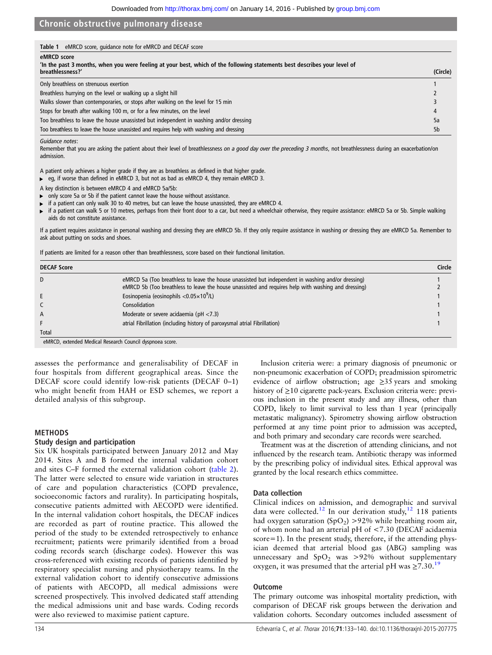| eMRCD score, quidance note for eMRCD and DECAF score<br>Table 1                                                                                              |                |
|--------------------------------------------------------------------------------------------------------------------------------------------------------------|----------------|
| eMRCD score<br>'In the past 3 months, when you were feeling at your best, which of the following statements best describes your level of<br>breathlessness?' | (Circle)       |
| Only breathless on strenuous exertion                                                                                                                        |                |
| Breathless hurrying on the level or walking up a slight hill                                                                                                 |                |
| Walks slower than contemporaries, or stops after walking on the level for 15 min                                                                             |                |
| Stops for breath after walking 100 m, or for a few minutes, on the level                                                                                     | 4              |
| Too breathless to leave the house unassisted but independent in washing and/or dressing                                                                      | 5a             |
| Too breathless to leave the house unassisted and requires help with washing and dressing                                                                     | 5 <sub>b</sub> |

Guidance notes:

Remember that you are asking the patient about their level of breathlessness on a good day over the preceding 3 months, not breathlessness during an exacerbation/on admission.

A patient only achieves a higher grade if they are as breathless as defined in that higher grade.

▸ eg, if worse than defined in eMRCD 3, but not as bad as eMRCD 4, they remain eMRCD 3.

A key distinction is between eMRCD 4 and eMRCD 5a/5b:

only score 5a or 5b if the patient cannot leave the house without assistance.

▸ if a patient can only walk 30 to 40 metres, but can leave the house unassisted, they are eMRCD 4.

if a patient can walk 5 or 10 metres, perhaps from their front door to a car, but need a wheelchair otherwise, they require assistance: eMRCD 5a or 5b. Simple walking aids do not constitute assistance.

If a patient requires assistance in personal washing and dressing they are eMRCD 5b. If they only require assistance in washing or dressing they are eMRCD 5a. Remember to ask about putting on socks and shoes.

If patients are limited for a reason other than breathlessness, score based on their functional limitation.

| <b>DECAF Score</b> |                                                                                                                                                                                                           | Circle |
|--------------------|-----------------------------------------------------------------------------------------------------------------------------------------------------------------------------------------------------------|--------|
| D                  | eMRCD 5a (Too breathless to leave the house unassisted but independent in washing and/or dressing)<br>eMRCD 5b (Too breathless to leave the house unassisted and requires help with washing and dressing) |        |
|                    | Eosinopenia (eosinophils $<$ 0.05 $\times$ 10 <sup>9</sup> /L)                                                                                                                                            |        |
|                    | Consolidation                                                                                                                                                                                             |        |
| A                  | Moderate or severe acidaemia ( $pH < 7.3$ )                                                                                                                                                               |        |
|                    | atrial Fibrillation (including history of paroxysmal atrial Fibrillation)                                                                                                                                 |        |
| Total              |                                                                                                                                                                                                           |        |

eMRCD, extended Medical Research Council dyspnoea score.

assesses the performance and generalisability of DECAF in four hospitals from different geographical areas. Since the DECAF score could identify low-risk patients (DECAF 0–1) who might benefit from HAH or ESD schemes, we report a detailed analysis of this subgroup.

#### METHODS

# Study design and participation

Six UK hospitals participated between January 2012 and May 2014. Sites A and B formed the internal validation cohort and sites C–F formed the external validation cohort (table 2). The latter were selected to ensure wide variation in structures of care and population characteristics (COPD prevalence, socioeconomic factors and rurality). In participating hospitals, consecutive patients admitted with AECOPD were identified. In the internal validation cohort hospitals, the DECAF indices are recorded as part of routine practice. This allowed the period of the study to be extended retrospectively to enhance recruitment; patients were primarily identified from a broad coding records search (discharge codes). However this was cross-referenced with existing records of patients identified by respiratory specialist nursing and physiotherapy teams. In the external validation cohort to identify consecutive admissions of patients with AECOPD, all medical admissions were screened prospectively. This involved dedicated staff attending the medical admissions unit and base wards. Coding records were also reviewed to maximise patient capture.

Inclusion criteria were: a primary diagnosis of pneumonic or non-pneumonic exacerbation of COPD; preadmission spirometric evidence of airflow obstruction; age  $\geq$ 35 years and smoking history of ≥10 cigarette pack-years. Exclusion criteria were: previous inclusion in the present study and any illness, other than COPD, likely to limit survival to less than 1 year (principally metastatic malignancy). Spirometry showing airflow obstruction performed at any time point prior to admission was accepted, and both primary and secondary care records were searched.

Treatment was at the discretion of attending clinicians, and not influenced by the research team. Antibiotic therapy was informed by the prescribing policy of individual sites. Ethical approval was granted by the local research ethics committee.

#### Data collection

Clinical indices on admission, and demographic and survival data were collected.<sup>[12](#page-7-0)</sup> In our derivation study,<sup>12</sup> 118 patients had oxygen saturation  $(SpO<sub>2</sub>) > 92\%$  while breathing room air, of whom none had an arterial pH of <7.30 (DECAF acidaemia score=1). In the present study, therefore, if the attending physician deemed that arterial blood gas (ABG) sampling was unnecessary and  $SpO<sub>2</sub>$  was >92% without supplementary oxygen, it was presumed that the arterial pH was  $\geq 7.30$ .<sup>[19](#page-7-0)</sup>

#### **Outcome**

The primary outcome was inhospital mortality prediction, with comparison of DECAF risk groups between the derivation and validation cohorts. Secondary outcomes included assessment of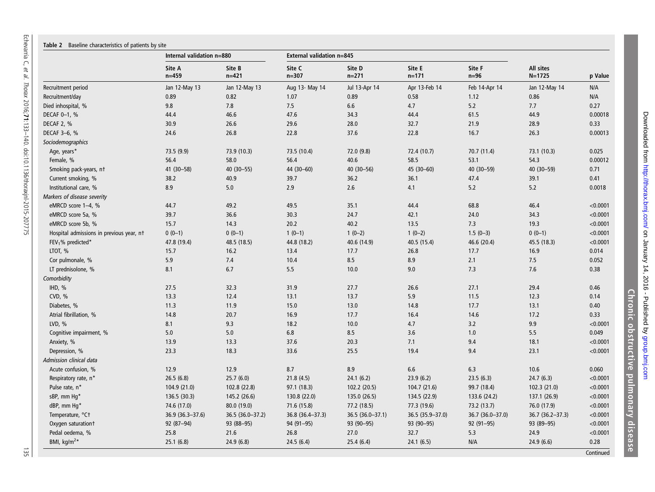| Table 2 Baseline characteristics of patients by site |                           |                     |                           |                     |                     |                  |                         |          |
|------------------------------------------------------|---------------------------|---------------------|---------------------------|---------------------|---------------------|------------------|-------------------------|----------|
|                                                      | Internal validation n=880 |                     | External validation n=845 |                     |                     |                  |                         |          |
|                                                      | Site A<br>$n = 459$       | Site B<br>$n = 421$ | Site C<br>$n = 307$       | Site D<br>$n = 271$ | Site E<br>$n = 171$ | Site F<br>$n=96$ | All sites<br>$N = 1725$ | p Value  |
| Recruitment period                                   | Jan 12-May 13             | Jan 12-May 13       | Aug 13- May 14            | Jul 13-Apr 14       | Apr 13-Feb 14       | Feb 14-Apr 14    | Jan 12-May 14           | N/A      |
| Recruitment/day                                      | 0.89                      | 0.82                | 1.07                      | 0.89                | 0.58                | 1.12             | 0.86                    | N/A      |
| Died inhospital, %                                   | 9.8                       | 7.8                 | 7.5                       | 6.6                 | 4.7                 | 5.2              | 7.7                     | 0.27     |
| DECAF 0-1, %                                         | 44.4                      | 46.6                | 47.6                      | 34.3                | 44.4                | 61.5             | 44.9                    | 0.00018  |
| DECAF 2, %                                           | 30.9                      | 26.6                | 29.6                      | 28.0                | 32.7                | 21.9             | 28.9                    | 0.33     |
| DECAF 3-6, %                                         | 24.6                      | 26.8                | 22.8                      | 37.6                | 22.8                | 16.7             | 26.3                    | 0.00013  |
| Sociodemographics                                    |                           |                     |                           |                     |                     |                  |                         |          |
| Age, years*                                          | 73.5 (9.9)                | 73.9 (10.3)         | 73.5 (10.4)               | 72.0 (9.8)          | 72.4 (10.7)         | 70.7 (11.4)      | 73.1 (10.3)             | 0.025    |
| Female, %                                            | 56.4                      | 58.0                | 56.4                      | 40.6                | 58.5                | 53.1             | 54.3                    | 0.00012  |
| Smoking pack-years, nt                               | 41 (30-58)                | 40 (30-55)          | 44 (30-60)                | 40 (30-56)          | 45 (30-60)          | 40 (30-59)       | 40 (30-59)              | 0.71     |
| Current smoking, %                                   | 38.2                      | 40.9                | 39.7                      | 36.2                | 36.1                | 47.4             | 39.1                    | 0.41     |
| Institutional care, %                                | 8.9                       | 5.0                 | 2.9                       | 2.6                 | 4.1                 | 5.2              | 5.2                     | 0.0018   |
| Markers of disease severity                          |                           |                     |                           |                     |                     |                  |                         |          |
| eMRCD score 1-4, %                                   | 44.7                      | 49.2                | 49.5                      | 35.1                | 44.4                | 68.8             | 46.4                    | < 0.0001 |
| eMRCD score 5a, %                                    | 39.7                      | 36.6                | 30.3                      | 24.7                | 42.1                | 24.0             | 34.3                    | < 0.0001 |
| eMRCD score 5b, %                                    | 15.7                      | 14.3                | 20.2                      | 40.2                | 13.5                | 7.3              | 19.3                    | < 0.0001 |
| Hospital admissions in previous year, nt             | $0(0-1)$                  | $0(0-1)$            | $1(0-1)$                  | $1(0-2)$            | $1(0-2)$            | $1.5(0-3)$       | $0(0-1)$                | < 0.0001 |
| FEV <sub>1</sub> % predicted <sup>*</sup>            | 47.8 (19.4)               | 48.5 (18.5)         | 44.8 (18.2)               | 40.6 (14.9)         | 40.5 (15.4)         | 46.6 (20.4)      | 45.5 (18.3)             | < 0.0001 |
| LTOT, %                                              | 15.7                      | 16.2                | 13.4                      | 17.7                | 26.8                | 17.7             | 16.9                    | 0.014    |
| Cor pulmonale, %                                     | 5.9                       | 7.4                 | 10.4                      | 8.5                 | 8.9                 | 2.1              | 7.5                     | 0.052    |
| LT prednisolone, %                                   | 8.1                       | 6.7                 | 5.5                       | 10.0                | 9.0                 | 7.3              | 7.6                     | 0.38     |
| Comorbidity                                          |                           |                     |                           |                     |                     |                  |                         |          |
| IHD, %                                               | 27.5                      | 32.3                | 31.9                      | 27.7                | 26.6                | 27.1             | 29.4                    | 0.46     |
| CVD, %                                               | 13.3                      | 12.4                | 13.1                      | 13.7                | 5.9                 | 11.5             | 12.3                    | 0.14     |
| Diabetes, %                                          | 11.3                      | 11.9                | 15.0                      | 13.0                | 14.8                | 17.7             | 13.1                    | 0.40     |
| Atrial fibrillation, %                               | 14.8                      | 20.7                | 16.9                      | 17.7                | 16.4                | 14.6             | 17.2                    | 0.33     |
| LVD, $%$                                             | 8.1                       | 9.3                 | 18.2                      | 10.0                | 4.7                 | 3.2              | 9.9                     | < 0.0001 |
| Cognitive impairment, %                              | 5.0                       | 5.0                 | 6.8                       | 8.5                 | 3.6                 | 1.0              | 5.5                     | 0.049    |
| Anxiety, %                                           | 13.9                      | 13.3                | 37.6                      | 20.3                | 7.1                 | 9.4              | 18.1                    | < 0.0001 |
| Depression, %                                        | 23.3                      | 18.3                | 33.6                      | 25.5                | 19.4                | 9.4              | 23.1                    | < 0.0001 |
| Admission clinical data                              |                           |                     |                           |                     |                     |                  |                         |          |
| Acute confusion, %                                   | 12.9                      | 12.9                | 8.7                       | 8.9                 | 6.6                 | 6.3              | 10.6                    | 0.060    |
| Respiratory rate, n*                                 | 26.5(6.8)                 | 25.7(6.0)           | 21.8(4.5)                 | 24.1(6.2)           | 23.9(6.2)           | 23.5(6.3)        | 24.7(6.3)               | < 0.0001 |
| Pulse rate, n*                                       | 104.9 (21.0)              | 102.8 (22.8)        | 97.1 (18.3)               | 102.2 (20.5)        | 104.7 (21.6)        | 99.7 (18.4)      | 102.3 (21.0)            | < 0.0001 |
| sBP, mm Hq*                                          | 136.5 (30.3)              | 145.2 (26.6)        | 130.8 (22.0)              | 135.0 (26.5)        | 134.5 (22.9)        | 133.6 (24.2)     | 137.1 (26.9)            | < 0.0001 |
| dBP, mm Hq*                                          | 74.6 (17.0)               | 80.0 (19.0)         | 71.6 (15.8)               | 77.2 (18.5)         | 77.3 (19.6)         | 73.2 (13.7)      | 76.0 (17.9)             | < 0.0001 |
| Temperature, °C+                                     | 36.9 (36.3-37.6)          | 36.5 (36.0-37.2)    | 36.8 (36.4-37.3)          | 36.5 (36.0-37.1)    | 36.5 (35.9-37.0)    | 36.7 (36.0-37.0) | 36.7 (36.2-37.3)        | < 0.0001 |
| Oxygen saturation+                                   | 92 (87-94)                | 93 (88-95)          | 94 (91-95)                | 93 (90-95)          | 93 (90-95)          | 92 (91-95)       | 93 (89-95)              | < 0.0001 |
| Pedal oedema, %                                      | 25.8                      | 21.6                | 26.8                      | 27.0                | 32.7                | 5.3              | 24.9                    | < 0.0001 |
| BMI, kg/m <sup>2*</sup>                              | 25.1(6.8)                 | 24.9(6.8)           | 24.5(6.4)                 | 25.4(6.4)           | 24.1(6.5)           | N/A              | 24.9(6.6)               | 0.28     |

Downloaded from http://thorax.bmj.com/ on January 14, 2016 - Published by group.bmj.com Downloaded from http://thorax.bmj.com/ on January 14, 2016 - Published by [group.bmj.com](http://group.bmj.com) Chronic obstructive pulmonary disease Chronic obstructive pulmonary disease

**Continued** 

135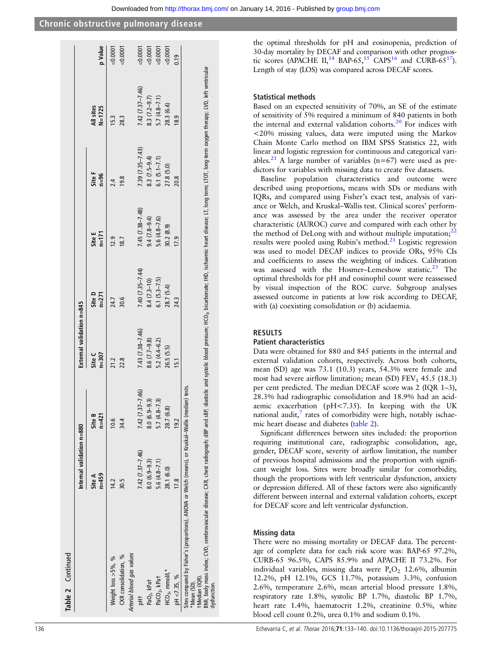|                                                                                                                                                                                                                                                 | Internal validation n=880 |                     | External validation n=845 |                     |                                                                                                                                                                           |                     |                         |                                                                               |
|-------------------------------------------------------------------------------------------------------------------------------------------------------------------------------------------------------------------------------------------------|---------------------------|---------------------|---------------------------|---------------------|---------------------------------------------------------------------------------------------------------------------------------------------------------------------------|---------------------|-------------------------|-------------------------------------------------------------------------------|
|                                                                                                                                                                                                                                                 | $n = 459$<br>Site A       | Site B<br>$n = 421$ | $n = 307$<br>Site C       | Site D<br>$n = 271$ | Site E<br>$n=171$                                                                                                                                                         | Site F<br>$n=96$    | All sites<br>$N = 1725$ | p Value                                                                       |
| Weight loss >5%, %                                                                                                                                                                                                                              | $\frac{42}{5}$            | $\frac{6}{10}$      | 21.2                      | 24.7                | 12.9                                                                                                                                                                      | $\frac{4}{3}$       | 15.3                    | 0.0001                                                                        |
| CXR consolidation, %                                                                                                                                                                                                                            | 30.5                      | 34.4                | 22.8                      | 30.6                | 18.7                                                                                                                                                                      | 19.8                | 28.3                    | 0.0001                                                                        |
| Arterial blood gas values                                                                                                                                                                                                                       |                           |                     |                           |                     |                                                                                                                                                                           |                     |                         |                                                                               |
| ŧ                                                                                                                                                                                                                                               | 7.42 (7.37-7.46)          | 7.42 (7.37-7.46)    | 7.43 (7.38-7.46)          | $7.40(7.35 - 7.44)$ | $7.45(7.38 - 7.48)$                                                                                                                                                       | $7.39(7.35 - 7.43)$ | $7.42(7.37 - 7.46)$     |                                                                               |
| PaO <sub>2</sub> , kPat                                                                                                                                                                                                                         | $8.0(6.9 - 9.3)$          | $8.0(6.9 - 9.3)$    | $8.6(7.7-9.8)$            | $8.4(7.3-10)$       | $9.4(7.8-9.4)$                                                                                                                                                            | 8.3 $(7.5-9.4)$     | 8.3 $(7.2-9.7)$         |                                                                               |
| PaCO <sub>2</sub> , kPat                                                                                                                                                                                                                        | $5.6(4.8 - 7.1)$          | $5.7(4.8 - 7.3)$    | $5.2(4.4 - 6.2)$          | $6.1 (5.3 - 7.5)$   | $5.6(4.8-7.6)$                                                                                                                                                            | $6.1 (5.1 - 7.1)$   | $5.7(4.8 - 7.1)$        | $\begin{array}{r} 0.0001 \\ 0.0001 \\ 0.0001 \\ 0.0001 \\ 0.0001 \end{array}$ |
| $HCO_{3}$ , mmol/L*                                                                                                                                                                                                                             | 28.1 (6.0)                | 28.7 (6.8)          | 26.5(5.5)                 | 28.7 (5.4)          | 30.2 (8.9)                                                                                                                                                                | 27.8 (5.0)          | 28.3 (6.4)              |                                                                               |
| pH < 7.35, %                                                                                                                                                                                                                                    | <b>17.8</b>               | 19.2                | 15.1                      | 24.3                | I7.9                                                                                                                                                                      | 20.8                | 18.9                    | 0.19                                                                          |
| Sites compared by Fisher's (proportions), ANOVA or Welch (means), or Kruskal-Wallis (median) tests.<br>BMI, body mass index; CVD, cerebrovascular disease; CXR, chest radiograph; dBP and sBP,<br>tMedian (IQR).<br>*Mean (SD).<br>dystunction. |                           |                     |                           |                     | diastolic and systolic blood pressure; HCO <sub>3</sub> , bicarbonate; IHD, ischaemic heart disease; LT, long term; LTOT, long-term oxygen therapy; LVD, left ventricular |                     |                         |                                                                               |

the optimal thresholds for pH and eosinopenia, prediction of 30-day mortality by DECAF and comparison with other prognos-tic scores (APACHE II,<sup>[14](#page-7-0)</sup> BAP-65,<sup>15</sup> CAPS<sup>[16](#page-7-0)</sup> and CURB-65<sup>17</sup>). Length of stay (LOS) was compared across DECAF scores.

# Statistical methods

Based on an expected sensitivity of 70%, an SE of the estimate of sensitivity of 5% required a minimum of 840 patients in both the internal and external validation cohorts. $^{20}$  For indices with <20% missing values, data were imputed using the Markov Chain Monte Carlo method on IBM SPSS Statistics 22, with linear and logistic regression for continuous and categorical vari-ables.<sup>[21](#page-7-0)</sup> A large number of variables ( $n=67$ ) were used as predictors for variables with missing data to create five datasets.

Baseline population characteristics and outcome were described using proportions, means with SDs or medians with IQRs, and compared using Fisher's exact test, analysis of variance or Welch, and Kruskal–Wallis test. Clinical scores' performance was assessed by the area under the receiver operator characteristic (AUROC) curve and compared with each other by the method of DeLong with and without multiple imputation; $^{22}$  $^{22}$  $^{22}$ results were pooled using Rubin's method.<sup>[21](#page-7-0)</sup> Logistic regression was used to model DECAF indices to provide ORs, 95% CIs and coefficients to assess the weighting of indices. Calibration was assessed with the Hosmer–Lemeshow statistic.<sup>23</sup> The optimal thresholds for pH and eosinophil count were reassessed by visual inspection of the ROC curve. Subgroup analyses assessed outcome in patients at low risk according to DECAF, with (a) coexisting consolidation or (b) acidaemia.

# RESULTS

# Patient characteristics

Data were obtained for 880 and 845 patients in the internal and external validation cohorts, respectively. Across both cohorts, mean (SD) age was 73.1 (10.3) years, 54.3% were female and most had severe airflow limitation; mean (SD)  $FEV<sub>1</sub>$  45.5 (18.3) per cent predicted. The median DECAF score was 2 (IQR 1–3), 28.3% had radiographic consolidation and 18.9% had an acidaemic exacerbation (pH<7.35). In keeping with the UK national audit, $\frac{7}{7}$  rates of comorbidity were high, notably ischaemic heart disease and diabetes (table 2).

Significant differences between sites included: the proportion requiring institutional care, radiographic consolidation, age, gender, DECAF score, severity of airflow limitation, the number of previous hospital admissions and the proportion with significant weight loss. Sites were broadly similar for comorbidity, though the proportions with left ventricular dysfunction, anxiety or depression differed. All of these factors were also significantly different between internal and external validation cohorts, except for DECAF score and left ventricular dysfunction.

# Missing data

There were no missing mortality or DECAF data. The percentage of complete data for each risk score was: BAP-65 97.2%, CURB-65 96.5%, CAPS 85.9% and APACHE II 73.2%. For individual variables, missing data were  $P_aO_2$  12.6%, albumin 12.2%, pH 12.1%, GCS 11.7%, potassium 3.3%, confusion 2.6%, temperature 2.6%, mean arterial blood pressure 1.8%, respiratory rate 1.8%, systolic BP 1.7%, diastolic BP 1.7%, heart rate 1.4%, haematocrit 1.2%, creatinine 0.5%, white blood cell count 0.2%, urea 0.1% and sodium 0.1%.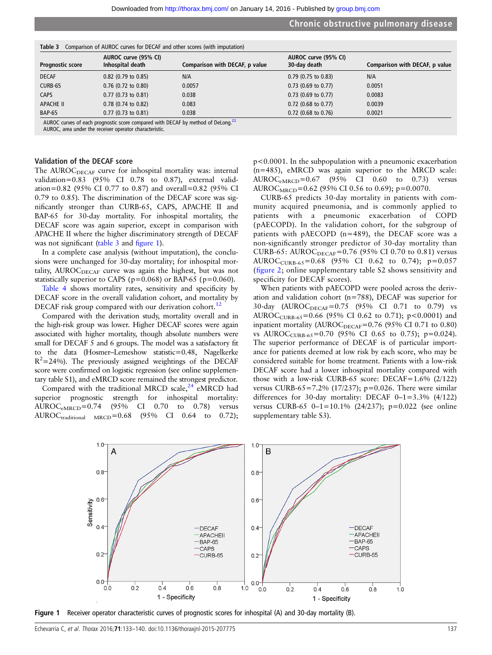|                         | AUROC curve (95% CI)  |                                | AUROC curve (95% CI)  |                                |
|-------------------------|-----------------------|--------------------------------|-----------------------|--------------------------------|
| <b>Prognostic score</b> | Inhospital death      | Comparison with DECAF, p value | 30-day death          | Comparison with DECAF, p value |
| <b>DECAF</b>            | $0.82$ (0.79 to 0.85) | N/A                            | $0.79$ (0.75 to 0.83) | N/A                            |
| CURB-65                 | $0.76$ (0.72 to 0.80) | 0.0057                         | $0.73$ (0.69 to 0.77) | 0.0051                         |
| <b>CAPS</b>             | $0.77$ (0.73 to 0.81) | 0.038                          | $0.73$ (0.69 to 0.77) | 0.0083                         |
| APACHE II               | $0.78$ (0.74 to 0.82) | 0.083                          | $0.72$ (0.68 to 0.77) | 0.0039                         |
| <b>BAP-65</b>           | $0.77$ (0.73 to 0.81) | 0.038                          | $0.72$ (0.68 to 0.76) | 0.0021                         |

 $\sigma$  - Table 3 Comparison of AUROC curves for DECAF and other scores (with imputation

AUROC curves of each prognostic score compared with DECAF by method of DeLong.<sup>[22](#page-7-0)</sup><br>AUROC, area under the receiver operator characteristic.

#### Validation of the DECAF score

The AUROC<sub>DECAF</sub> curve for inhospital mortality was: internal validation=0.83 (95% CI 0.78 to 0.87), external validation=0.82 (95% CI 0.77 to 0.87) and overall=0.82 (95% CI 0.79 to 0.85). The discrimination of the DECAF score was significantly stronger than CURB-65, CAPS, APACHE II and BAP-65 for 30-day mortality. For inhospital mortality, the DECAF score was again superior, except in comparison with APACHE II where the higher discriminatory strength of DECAF was not significant (table 3 and figure 1).

In a complete case analysis (without imputation), the conclusions were unchanged for 30-day mortality; for inhospital mortality, AUROC $_{DECAF}$  curve was again the highest, but was not statistically superior to CAPS ( $p=0.068$ ) or BAP-65 ( $p=0.060$ ).

Table 4 shows mortality rates, sensitivity and specificity by DECAF score in the overall validation cohort, and mortality by DECAF risk group compared with our derivation cohort.<sup>12</sup>

Compared with the derivation study, mortality overall and in the high-risk group was lower. Higher DECAF scores were again associated with higher mortality, though absolute numbers were small for DECAF 5 and 6 groups. The model was a satisfactory fit to the data (Hosmer–Lemeshow statistic=0.48, Nagelkerke  $R^2$ =24%). The previously assigned weightings of the DECAF score were confirmed on logistic regression (see online supplementary table S1), and eMRCD score remained the strongest predictor.

Compared with the traditional MRCD scale, $^{24}$  $^{24}$  $^{24}$  eMRCD had superior prognostic strength for inhospital mortality: AUROCeMRCD=0.74 (95% CI 0.70 to 0.78) versus AUROC<sub>traditional</sub>  $_{MRCD} = 0.68$  (95% CI 0.64 to 0.72);

p<0.0001. In the subpopulation with a pneumonic exacerbation (n=485), eMRCD was again superior to the MRCD scale: AUROC<sub>eMRCD</sub>=0.67 (95% CI 0.60 to 0.73) versus AUROC<sub>MRCD</sub>=0.62 (95% CI 0.56 to 0.69); p=0.0070.

CURB-65 predicts 30-day mortality in patients with community acquired pneumonia, and is commonly applied to patients with a pneumonic exacerbation of COPD ( pAECOPD). In the validation cohort, for the subgroup of patients with pAECOPD (n=489), the DECAF score was a non-significantly stronger predictor of 30-day mortality than CURB-65: AUROC $_{DECAF}$ =0.76 (95% CI 0.70 to 0.81) versus AUROC<sub>CURB-65</sub>=0.68 (95% CI 0.62 to 0.74);  $p=0.057$ (fi[gure 2;](#page-5-0) online supplementary table S2 shows sensitivity and specificity for DECAF scores).

When patients with pAECOPD were pooled across the derivation and validation cohort (n=788), DECAF was superior for 30-day (AUROC<sub>DECAF</sub>=0.75 (95% CI 0.71 to 0.79) vs AUROC<sub>CURB-65</sub>=0.66 (95% CI 0.62 to 0.71); p<0.0001) and inpatient mortality (AUROC $_{DECAF}$ =0.76 (95% CI 0.71 to 0.80) vs AUROC<sub>CURB-65</sub>=0.70 (95% CI 0.65 to 0.75); p=0.024). The superior performance of DECAF is of particular importance for patients deemed at low risk by each score, who may be considered suitable for home treatment. Patients with a low-risk DECAF score had a lower inhospital mortality compared with those with a low-risk CURB-65 score: DECAF=1.6% (2/122) versus CURB-65=7.2% (17/237);  $p=0.026$ . There were similar differences for 30-day mortality: DECAF  $0-1=3.3\%$  (4/122) versus CURB-65 0–1=10.1% (24/237); p=0.022 (see online supplementary table S3).



Figure 1 Receiver operator characteristic curves of prognostic scores for inhospital (A) and 30-day mortality (B).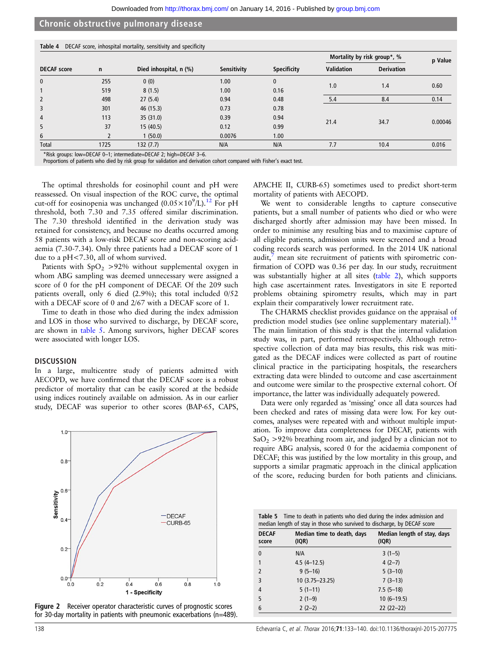<span id="page-5-0"></span>

|                    |      |                        |             |                    |                   | Mortality by risk group*, % | p Value |
|--------------------|------|------------------------|-------------|--------------------|-------------------|-----------------------------|---------|
| <b>DECAF</b> score | n    | Died inhospital, n (%) | Sensitivity | <b>Specificity</b> | <b>Validation</b> | <b>Derivation</b>           |         |
| $\mathbf{0}$       | 255  | 0(0)                   | 1.00        | $\mathbf{0}$       |                   |                             |         |
|                    | 519  | 8(1.5)                 | 1.00        | 0.16               | 1.0               | 1.4                         | 0.60    |
| $\overline{2}$     | 498  | 27(5.4)                | 0.94        | 0.48               | 5.4               | 8.4                         | 0.14    |
| 3                  | 301  | 46 (15.3)              | 0.73        | 0.78               |                   |                             |         |
| 4                  | 113  | 35 (31.0)              | 0.39        | 0.94               |                   |                             |         |
| 5                  | 37   | 15(40.5)               | 0.12        | 0.99               | 21.4              | 34.7                        | 0.00046 |
| 6                  |      | 1(50.0)                | 0.0076      | 1.00               |                   |                             |         |
| Total              | 1725 | 132(7.7)               | N/A         | N/A                | 7.7               | 10.4                        | 0.016   |

\*Risk groups: low=DECAF 0–1; intermediate=DECAF 2; high=DECAF 3–6.

Proportions of patients who died by risk group for validation and derivation cohort compared with Fisher's exact test.

The optimal thresholds for eosinophil count and pH were reassessed. On visual inspection of the ROC curve, the optimal cut-off for eosinopenia was unchanged  $(0.05 \times 10^9/\text{L})$ .<sup>12</sup> For pH threshold, both 7.30 and 7.35 offered similar discrimination. The 7.30 threshold identified in the derivation study was retained for consistency, and because no deaths occurred among 58 patients with a low-risk DECAF score and non-scoring acidaemia (7.30-7.34). Only three patients had a DECAF score of 1 due to a pH<7.30, all of whom survived.

Patients with  $SpO<sub>2</sub> > 92%$  without supplemental oxygen in whom ABG sampling was deemed unnecessary were assigned a score of 0 for the pH component of DECAF. Of the 209 such patients overall, only 6 died (2.9%); this total included 0/52 with a DECAF score of 0 and 2/67 with a DECAF score of 1.

Time to death in those who died during the index admission and LOS in those who survived to discharge, by DECAF score, are shown in table 5. Among survivors, higher DECAF scores were associated with longer LOS.

#### **DISCUSSION**

In a large, multicentre study of patients admitted with AECOPD, we have confirmed that the DECAF score is a robust predictor of mortality that can be easily scored at the bedside using indices routinely available on admission. As in our earlier study, DECAF was superior to other scores (BAP-65, CAPS,



Figure 2 Receiver operator characteristic curves of prognostic scores for 30-day mortality in patients with pneumonic exacerbations (n=489).

APACHE II, CURB-65) sometimes used to predict short-term mortality of patients with AECOPD.

We went to considerable lengths to capture consecutive patients, but a small number of patients who died or who were discharged shortly after admission may have been missed. In order to minimise any resulting bias and to maximise capture of all eligible patients, admission units were screened and a broad coding records search was performed. In the 2014 UK national audit, $\frac{7}{7}$  mean site recruitment of patients with spirometric confirmation of COPD was 0.36 per day. In our study, recruitment was substantially higher at all sites (table 2), which supports high case ascertainment rates. Investigators in site E reported problems obtaining spirometry results, which may in part explain their comparatively lower recruitment rate.

The CHARMS checklist provides guidance on the appraisal of prediction model studies (see online supplementary material).<sup>[18](#page-7-0)</sup> The main limitation of this study is that the internal validation study was, in part, performed retrospectively. Although retrospective collection of data may bias results, this risk was mitigated as the DECAF indices were collected as part of routine clinical practice in the participating hospitals, the researchers extracting data were blinded to outcome and case ascertainment and outcome were similar to the prospective external cohort. Of importance, the latter was individually adequately powered.

Data were only regarded as 'missing' once all data sources had been checked and rates of missing data were low. For key outcomes, analyses were repeated with and without multiple imputation. To improve data completeness for DECAF, patients with  $SaO<sub>2</sub> > 92%$  breathing room air, and judged by a clinician not to require ABG analysis, scored 0 for the acidaemia component of DECAF; this was justified by the low mortality in this group, and supports a similar pragmatic approach in the clinical application of the score, reducing burden for both patients and clinicians.

| <b>Table 5</b> Time to death in patients who died during the index admission and |
|----------------------------------------------------------------------------------|
| median length of stay in those who survived to discharge, by DECAF score         |

| <b>DECAF</b><br>score    | Median time to death, days<br>(IQR) | Median length of stay, days<br>(IQR) |
|--------------------------|-------------------------------------|--------------------------------------|
| $\mathbf{0}$             | N/A                                 | $3(1-5)$                             |
| 1                        | $4.5(4-12.5)$                       | $4(2-7)$                             |
| $\overline{\phantom{0}}$ | $9(5-16)$                           | $5(3-10)$                            |
| 3                        | $10(3.75 - 23.25)$                  | $7(3-13)$                            |
| 4                        | $5(1-11)$                           | $7.5(5-18)$                          |
| 5                        | $2(1-9)$                            | $10(6-19.5)$                         |
| 6                        | $2(2-2)$                            | $22(22-22)$                          |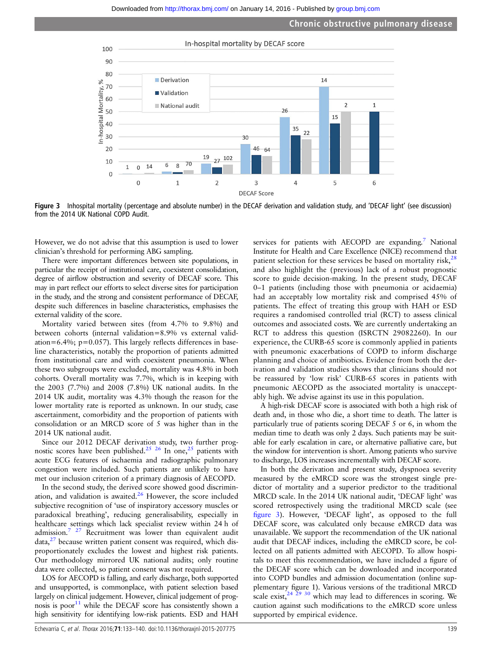

Figure 3 Inhospital mortality (percentage and absolute number) in the DECAF derivation and validation study, and 'DECAF light' (see discussion) from the 2014 UK National COPD Audit.

However, we do not advise that this assumption is used to lower clinician's threshold for performing ABG sampling.

There were important differences between site populations, in particular the receipt of institutional care, coexistent consolidation, degree of airflow obstruction and severity of DECAF score. This may in part reflect our efforts to select diverse sites for participation in the study, and the strong and consistent performance of DECAF, despite such differences in baseline characteristics, emphasises the external validity of the score.

Mortality varied between sites (from 4.7% to 9.8%) and between cohorts (internal validation=8.9% vs external validation=6.4%;  $p=0.057$ ). This largely reflects differences in baseline characteristics, notably the proportion of patients admitted from institutional care and with coexistent pneumonia. When these two subgroups were excluded, mortality was 4.8% in both cohorts. Overall mortality was 7.7%, which is in keeping with the 2003 (7.7%) and 2008 (7.8%) UK national audits. In the 2014 UK audit, mortality was 4.3% though the reason for the lower mortality rate is reported as unknown. In our study, case ascertainment, comorbidity and the proportion of patients with consolidation or an MRCD score of 5 was higher than in the 2014 UK national audit.

Since our 2012 DECAF derivation study, two further prog-nostic scores have been published.<sup>[25](#page-7-0)</sup> <sup>26</sup> In one,<sup>25</sup> patients with acute ECG features of ischaemia and radiographic pulmonary congestion were included. Such patients are unlikely to have met our inclusion criterion of a primary diagnosis of AECOPD.

In the second study, the derived score showed good discrimination, and validation is awaited. $26$  However, the score included subjective recognition of 'use of inspiratory accessory muscles or paradoxical breathing', reducing generalisability, especially in healthcare settings which lack specialist review within 24 h of admission[.7 27](#page-7-0) Recruitment was lower than equivalent audit  $data$ <sup>[27](#page-7-0)</sup> because written patient consent was required, which disproportionately excludes the lowest and highest risk patients. Our methodology mirrored UK national audits; only routine data were collected, so patient consent was not required.

LOS for AECOPD is falling, and early discharge, both supported and unsupported, is commonplace, with patient selection based largely on clinical judgement. However, clinical judgement of prognosis is poor $11$  while the DECAF score has consistently shown a high sensitivity for identifying low-risk patients. ESD and HAH

services for patients with AECOPD are expanding.<sup>7</sup> National Institute for Health and Care Excellence (NICE) recommend that patient selection for these services be based on mortality risk, $28$ and also highlight the ( previous) lack of a robust prognostic score to guide decision-making. In the present study, DECAF 0–1 patients (including those with pneumonia or acidaemia) had an acceptably low mortality risk and comprised 45% of patients. The effect of treating this group with HAH or ESD requires a randomised controlled trial (RCT) to assess clinical outcomes and associated costs. We are currently undertaking an RCT to address this question (ISRCTN 29082260). In our experience, the CURB-65 score is commonly applied in patients with pneumonic exacerbations of COPD to inform discharge planning and choice of antibiotics. Evidence from both the derivation and validation studies shows that clinicians should not be reassured by 'low risk' CURB-65 scores in patients with pneumonic AECOPD as the associated mortality is unacceptably high. We advise against its use in this population.

A high-risk DECAF score is associated with both a high risk of death and, in those who die, a short time to death. The latter is particularly true of patients scoring DECAF 5 or 6, in whom the median time to death was only 2 days. Such patients may be suitable for early escalation in care, or alternative palliative care, but the window for intervention is short. Among patients who survive to discharge, LOS increases incrementally with DECAF score.

In both the derivation and present study, dyspnoea severity measured by the eMRCD score was the strongest single predictor of mortality and a superior predictor to the traditional MRCD scale. In the 2014 UK national audit, 'DECAF light' was scored retrospectively using the traditional MRCD scale (see figure 3). However, 'DECAF light', as opposed to the full DECAF score, was calculated only because eMRCD data was unavailable. We support the recommendation of the UK national audit that DECAF indices, including the eMRCD score, be collected on all patients admitted with AECOPD. To allow hospitals to meet this recommendation, we have included a figure of the DECAF score which can be downloaded and incorporated into COPD bundles and admission documentation (online supplementary figure 1). Various versions of the traditional MRCD scale exist,  $24 \overline{29}$   $30$  which may lead to differences in scoring. We caution against such modifications to the eMRCD score unless supported by empirical evidence.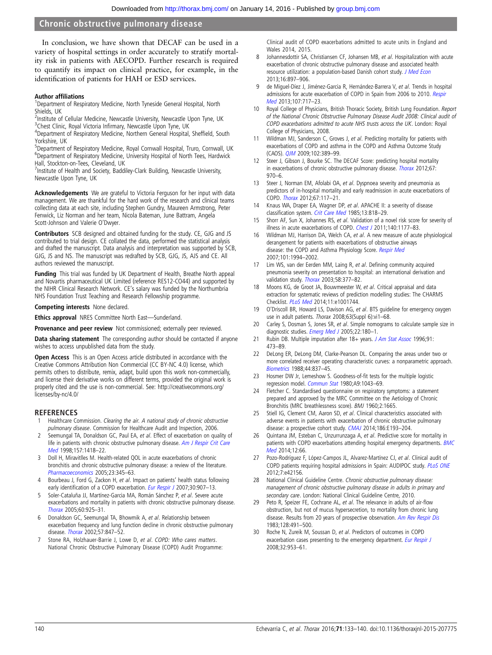<span id="page-7-0"></span>In conclusion, we have shown that DECAF can be used in a variety of hospital settings in order accurately to stratify mortality risk in patients with AECOPD. Further research is required to quantify its impact on clinical practice, for example, in the identification of patients for HAH or ESD services.

#### Author affiliations <sup>1</sup>

<sup>1</sup>Department of Respiratory Medicine, North Tyneside General Hospital, North Shields, UK

<sup>2</sup>Institute of Cellular Medicine, Newcastle University, Newcastle Upon Tyne, UK

<sup>3</sup>Chest Clinic, Royal Victoria Infirmary, Newcastle Upon Tyne, UK<br><sup>4</sup>Denartment of Besniratory Medicine, Northern General Hosnital Department of Respiratory Medicine, Northern General Hospital, Sheffield, South Yorkshire, UK

<sup>5</sup>Department of Respiratory Medicine, Royal Cornwall Hospital, Truro, Cornwall, UK <sup>6</sup>Department of Respiratory Medicine, University Hospital of North Tees, Hardwick Hall, Stockton-on-Tees, Cleveland, UK

<sup>7</sup> Institute of Health and Society, Baddiley-Clark Building, Newcastle University, Newcastle Upon Tyne, UK

Acknowledgements We are grateful to Victoria Ferguson for her input with data management. We are thankful for the hard work of the research and clinical teams collecting data at each site, including Stephen Gundry, Maureen Armstrong, Peter Fenwick, Liz Norman and her team, Nicola Bateman, June Battram, Angela Scott-Johnson and Valerie O'Dwyer.

Contributors SCB designed and obtained funding for the study. CE, GJG and JS contributed to trial design. CE collated the data, performed the statistical analysis and drafted the manuscript. Data analysis and interpretation was supported by SCB, GJG, JS and NS. The manuscript was redrafted by SCB, GJG, JS, AJS and CE. All authors reviewed the manuscript.

Funding This trial was funded by UK Department of Health, Breathe North appeal and Novartis pharmaceutical UK Limited (reference RES12-CO44) and supported by the NIHR Clinical Research Network. CE's salary was funded by the Northumbria NHS Foundation Trust Teaching and Research Fellowship programme.

Competing interests None declared.

Ethics approval NRES Committee North East—Sunderland.

Provenance and peer review Not commissioned; externally peer reviewed.

Data sharing statement The corresponding author should be contacted if anyone wishes to access unpublished data from the study.

Open Access This is an Open Access article distributed in accordance with the Creative Commons Attribution Non Commercial (CC BY-NC 4.0) license, which permits others to distribute, remix, adapt, build upon this work non-commercially, and license their derivative works on different terms, provided the original work is properly cited and the use is non-commercial. See: [http://creativecommons.org/](http://creativecommons.org/licenses/by-nc/4.0/) [licenses/by-nc/4.0/](http://creativecommons.org/licenses/by-nc/4.0/)

# **REFERENCES**<br>1 Healthcare Co

- Healthcare Commission. Clearing the air. A national study of chronic obstructive pulmonary disease. Commission for Healthcare Audit and Inspection, 2006.
- 2 Seemungal TA, Donaldson GC, Paul EA, et al. Effect of exacerbation on quality of life in patients with chronic obstructive pulmonary disease. [Am J Respir Crit Care](http://dx.doi.org/10.1164/ajrccm.157.5.9709032) [Med](http://dx.doi.org/10.1164/ajrccm.157.5.9709032) 1998;157:1418-22.
- 3 Doll H, Miravitlles M. Health-related QOL in acute exacerbations of chronic bronchitis and chronic obstructive pulmonary disease: a review of the literature. [Pharmacoeconomics](http://dx.doi.org/10.2165/00019053-200523040-00005) 2005;23:345–63.
- 4 Bourbeau J, Ford G, Zackon H, et al. Impact on patients' health status following early identification of a COPD exacerbation. [Eur Respir J](http://dx.doi.org/10.1183/09031936.00166606) 2007;30:907-13.
- 5 Soler-Cataluña JJ, Martínez-Garcia MA, Román Sánchez P, et al. Severe acute exacerbations and mortality in patients with chronic obstructive pulmonary disease. [Thorax](http://dx.doi.org/10.1136/thx.2005.040527) 2005;60:925–31.
- 6 Donaldson GC, Seemungal TA, Bhowmik A, et al. Relationship between exacerbation frequency and lung function decline in chronic obstructive pulmonary disease. [Thorax](http://dx.doi.org/10.1136/thorax.57.10.847) 2002;57:847–52.
- 7 Stone RA, Holzhauer-Barrie J, Lowe D, et al. COPD: Who cares matters. National Chronic Obstructive Pulmonary Disease (COPD) Audit Programme:

Clinical audit of COPD exacerbations admitted to acute units in England and Wales 2014, 2015.

- 8 Johannesdottir SA, Christiansen CF, Johansen MB, et al. Hospitalization with acute exacerbation of chronic obstructive pulmonary disease and associated health resource utilization: a population-based Danish cohort study. [J Med Econ](http://dx.doi.org/10.3111/13696998.2013.800525) 2013;16:897–906.
- 9 de Miguel-Díez J, Jiménez-Garcia R, Hernández-Barrera V, et al. Trends in hospital admissions for acute exacerbation of COPD in Spain from 2006 to 2010. [Respir](http://dx.doi.org/10.1016/j.rmed.2013.01.007) [Med](http://dx.doi.org/10.1016/j.rmed.2013.01.007) 2013;107:717–23.
- Royal College of Physicians, British Thoracic Society, British Lung Foundation. Report of the National Chronic Obstructive Pulmonary Disease Audit 2008: Clinical audit of COPD exacerbations admitted to acute NHS trusts across the UK. London: Royal College of Physicians, 2008.
- 11 Wildman MJ, Sanderson C, Groves J, et al. Predicting mortality for patients with exacerbations of COPD and asthma in the COPD and Asthma Outcome Study (CAOS). [QJM](http://dx.doi.org/10.1093/qjmed/hcp036) 2009;102:389–99.
- 12 Steer J, Gibson J, Bourke SC. The DECAF Score: predicting hospital mortality in exacerbations of chronic obstructive pulmonary disease. [Thorax](http://dx.doi.org/10.1136/thoraxjnl-2012-202103) 2012;67: 970–6.
- 13 Steer J, Norman EM, Afolabi OA, et al. Dyspnoea severity and pneumonia as predictors of in-hospital mortality and early readmission in acute exacerbations of COPD. [Thorax](http://dx.doi.org/10.1136/thoraxjnl-2011-200332) 2012;67:117–21.
- 14 Knaus WA, Draper EA, Wagner DP, et al. APACHE II: a severity of disease classification system. [Crit Care Med](http://dx.doi.org/10.1097/00003246-198510000-00009) 1985;13:818-29.
- 15 Shorr AF, Sun X, Johannes RS, et al. Validation of a novel risk score for severity of illness in acute exacerbations of COPD. [Chest J](http://dx.doi.org/10.1378/chest.10-3035) 2011;140:1177–83.
- 16 Wildman MJ, Harrison DA, Welch CA, et al. A new measure of acute physiological derangement for patients with exacerbations of obstructive airways disease: the COPD and Asthma Physiology Score. [Respir Med](http://dx.doi.org/10.1016/j.rmed.2007.04.002) 2007;101:1994–2002.
- 17 Lim WS, van der Eerden MM, Laing R, et al. Defining community acquired pneumonia severity on presentation to hospital: an international derivation and validation study. [Thorax](http://dx.doi.org/10.1136/thorax.58.5.377) 2003;58:377-82.
- 18 Moons KG, de Groot JA, Bouwmeester W, et al. Critical appraisal and data extraction for systematic reviews of prediction modelling studies: The CHARMS Checklist. [PLoS Med](http://dx.doi.org/10.1371/journal.pmed.1001744) 2014;11:e1001744.
- 19 O'Driscoll BR, Howard LS, Davison AG, et al. BTS guideline for emergency oxygen use in adult patients. Thorax 2008;63(Suppl 6):vi1–68.
- 20 Carley S, Dosman S, Jones SR, et al. Simple nomograms to calculate sample size in diagnostic studies. [Emerg Med J](http://dx.doi.org/10.1136/emj.2003.011148) 2005;22:180-1.
- 21 Rubin DB. Multiple imputation after 18+ years. [J Am Stat Assoc](http://dx.doi.org/10.1080/01621459.1996.10476908) 1996;91: 473–89.
- 22 DeLong ER, DeLong DM, Clarke-Pearson DL. Comparing the areas under two or more correlated receiver operating characteristic curves: a nonparametric approach. [Biometrics](http://dx.doi.org/10.2307/2531595) 1988;44:837–45.
- 23 Hosmer DW Jr, Lemeshow S. Goodness-of-fit tests for the multiple logistic regression model. [Commun Stat](http://dx.doi.org/10.1080/03610928008827941) 1980;A9:1043-69.
- 24 Fletcher C. Standardised questionnaire on respiratory symptoms: a statement prepared and approved by the MRC Committee on the Aetiology of Chronic Bronchitis (MRC breathlessness score). BMJ 1960;2:1665.
- 25 Stiell IG, Clement CM, Aaron SD, et al. Clinical characteristics associated with adverse events in patients with exacerbation of chronic obstructive pulmonary disease: a prospective cohort study. [CMAJ](http://dx.doi.org/10.1503/cmaj.130968) 2014;186:E193-204.
- 26 Quintana JM, Esteban C, Unzurrunzaga A, et al. Predictive score for mortality in patients with COPD exacerbations attending hospital emergency departments. **[BMC](http://dx.doi.org/10.1186/1741-7015-12-66)** [Med](http://dx.doi.org/10.1186/1741-7015-12-66) 2014:12:66
- 27 Pozo-Rodríguez F, López-Campos JL, Alvarez-Martínez CJ, et al. Clinical audit of COPD patients requiring hospital admissions in Spain: AUDIPOC study. [PLoS ONE](http://dx.doi.org/10.1371/journal.pone.0042156) 2012;7:e42156.
- 28 National Clinical Guideline Centre. Chronic obstructive pulmonary disease: management of chronic obstructive pulmonary disease in adults in primary and secondary care. London: National Clinical Guideline Centre, 2010.
- 29 Peto R, Speizer FE, Cochrane AL, et al. The relevance in adults of air-flow obstruction, but not of mucus hypersecretion, to mortality from chronic lung disease. Results from 20 years of prospective observation. [Am Rev Respir Dis](http://dx.doi.org/10.1164/arrd.1983.128.3.491) 1983;128:491–500.
- 30 Roche N, Zureik M, Soussan D, et al. Predictors of outcomes in COPD exacerbation cases presenting to the emergency department. [Eur Respir J](http://dx.doi.org/10.1183/09031936.00129507) 2008;32:953–61.